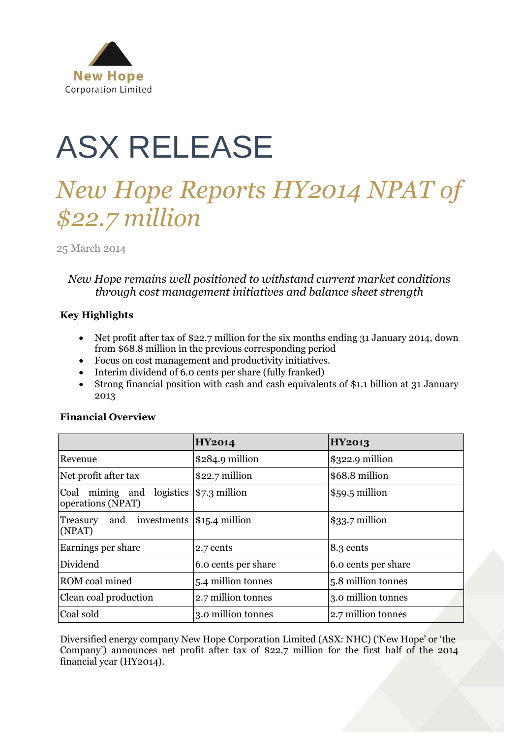

# ASX RELEASE

## *New Hope Reports HY2014 NPAT of \$22.7 million*

25 March 2014

### *New Hope remains well positioned to withstand current market conditions through cost management initiatives and balance sheet strength*

#### **Key Highlights**

- Net profit after tax of \$22.7 million for the six months ending 31 January 2014, down from \$68.8 million in the previous corresponding period
- Focus on cost management and productivity initiatives.
- Interim dividend of 6.0 cents per share (fully franked)
- Strong financial position with cash and cash equivalents of \$1.1 billion at 31 January 2013

#### **Financial Overview**

|                                                                    | <b>HY2014</b>                 | <b>HY2013</b>       |
|--------------------------------------------------------------------|-------------------------------|---------------------|
| Revenue                                                            | $$284.9$ million              | $$322.9$ million    |
| Net profit after tax                                               | \$22.7 million                | \$68.8 million      |
| mining and logistics $ \$7.3$ million<br>Coal<br>operations (NPAT) |                               | $$59.5$ million     |
| and<br>Treasury<br>(NPATH)                                         | investments $ \$15.4$ million | $$33.7$ million     |
| Earnings per share                                                 | 2.7 cents                     | 8.3 cents           |
| Dividend                                                           | 6.0 cents per share           | 6.0 cents per share |
| ROM coal mined                                                     | 5.4 million tonnes            | 5.8 million tonnes  |
| Clean coal production                                              | 2.7 million tonnes            | 3.0 million tonnes  |
| Coal sold                                                          | 3.0 million tonnes            | 2.7 million tonnes  |

Diversified energy company New Hope Corporation Limited (ASX: NHC) ("New Hope" or "the Company") announces net profit after tax of \$22.7 million for the first half of the 2014 financial year (HY2014).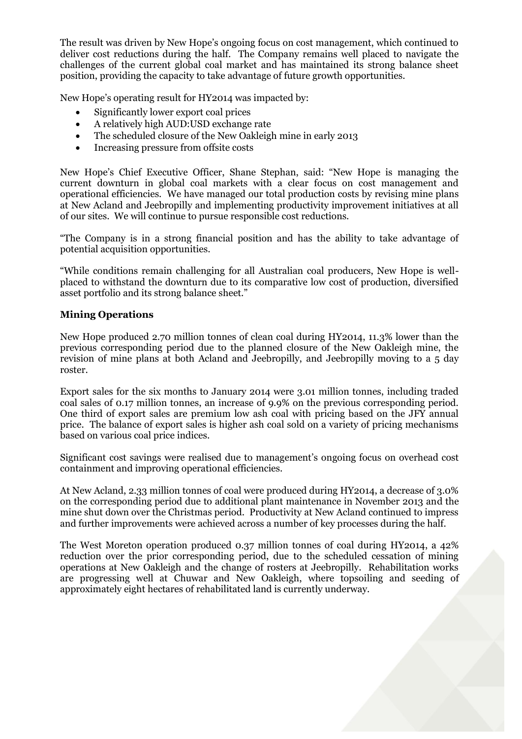The result was driven by New Hope's ongoing focus on cost management, which continued to deliver cost reductions during the half. The Company remains well placed to navigate the challenges of the current global coal market and has maintained its strong balance sheet position, providing the capacity to take advantage of future growth opportunities.

New Hope's operating result for HY2014 was impacted by:

- Significantly lower export coal prices
- A relatively high AUD:USD exchange rate
- The scheduled closure of the New Oakleigh mine in early 2013
- Increasing pressure from offsite costs

New Hope's Chief Executive Officer, Shane Stephan, said: "New Hope is managing the current downturn in global coal markets with a clear focus on cost management and operational efficiencies. We have managed our total production costs by revising mine plans at New Acland and Jeebropilly and implementing productivity improvement initiatives at all of our sites. We will continue to pursue responsible cost reductions.

"The Company is in a strong financial position and has the ability to take advantage of potential acquisition opportunities.

"While conditions remain challenging for all Australian coal producers, New Hope is wellplaced to withstand the downturn due to its comparative low cost of production, diversified asset portfolio and its strong balance sheet."

#### **Mining Operations**

New Hope produced 2.70 million tonnes of clean coal during HY2014, 11.3% lower than the previous corresponding period due to the planned closure of the New Oakleigh mine, the revision of mine plans at both Acland and Jeebropilly, and Jeebropilly moving to a 5 day roster.

Export sales for the six months to January 2014 were 3.01 million tonnes, including traded coal sales of 0.17 million tonnes, an increase of 9.9% on the previous corresponding period. One third of export sales are premium low ash coal with pricing based on the JFY annual price. The balance of export sales is higher ash coal sold on a variety of pricing mechanisms based on various coal price indices.

Significant cost savings were realised due to management's ongoing focus on overhead cost containment and improving operational efficiencies.

At New Acland, 2.33 million tonnes of coal were produced during HY2014, a decrease of 3.0% on the corresponding period due to additional plant maintenance in November 2013 and the mine shut down over the Christmas period. Productivity at New Acland continued to impress and further improvements were achieved across a number of key processes during the half.

The West Moreton operation produced 0.37 million tonnes of coal during HY2014, a 42% reduction over the prior corresponding period, due to the scheduled cessation of mining operations at New Oakleigh and the change of rosters at Jeebropilly. Rehabilitation works are progressing well at Chuwar and New Oakleigh, where topsoiling and seeding of approximately eight hectares of rehabilitated land is currently underway.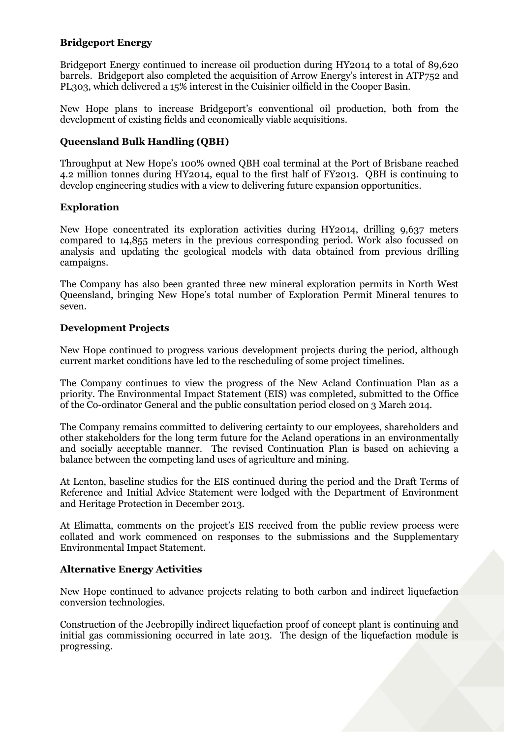#### **Bridgeport Energy**

Bridgeport Energy continued to increase oil production during HY2014 to a total of 89,620 barrels. Bridgeport also completed the acquisition of Arrow Energy"s interest in ATP752 and PL303, which delivered a 15% interest in the Cuisinier oilfield in the Cooper Basin.

New Hope plans to increase Bridgeport's conventional oil production, both from the development of existing fields and economically viable acquisitions.

#### **Queensland Bulk Handling (QBH)**

Throughput at New Hope"s 100% owned QBH coal terminal at the Port of Brisbane reached 4.2 million tonnes during HY2014, equal to the first half of FY2013. QBH is continuing to develop engineering studies with a view to delivering future expansion opportunities.

#### **Exploration**

New Hope concentrated its exploration activities during HY2014, drilling 9,637 meters compared to 14,855 meters in the previous corresponding period. Work also focussed on analysis and updating the geological models with data obtained from previous drilling campaigns.

The Company has also been granted three new mineral exploration permits in North West Queensland, bringing New Hope"s total number of Exploration Permit Mineral tenures to seven.

#### **Development Projects**

New Hope continued to progress various development projects during the period, although current market conditions have led to the rescheduling of some project timelines.

The Company continues to view the progress of the New Acland Continuation Plan as a priority. The Environmental Impact Statement (EIS) was completed, submitted to the Office of the Co-ordinator General and the public consultation period closed on 3 March 2014.

The Company remains committed to delivering certainty to our employees, shareholders and other stakeholders for the long term future for the Acland operations in an environmentally and socially acceptable manner. The revised Continuation Plan is based on achieving a balance between the competing land uses of agriculture and mining.

At Lenton, baseline studies for the EIS continued during the period and the Draft Terms of Reference and Initial Advice Statement were lodged with the Department of Environment and Heritage Protection in December 2013.

At Elimatta, comments on the project's EIS received from the public review process were collated and work commenced on responses to the submissions and the Supplementary Environmental Impact Statement.

#### **Alternative Energy Activities**

New Hope continued to advance projects relating to both carbon and indirect liquefaction conversion technologies.

Construction of the Jeebropilly indirect liquefaction proof of concept plant is continuing and initial gas commissioning occurred in late 2013. The design of the liquefaction module is progressing.